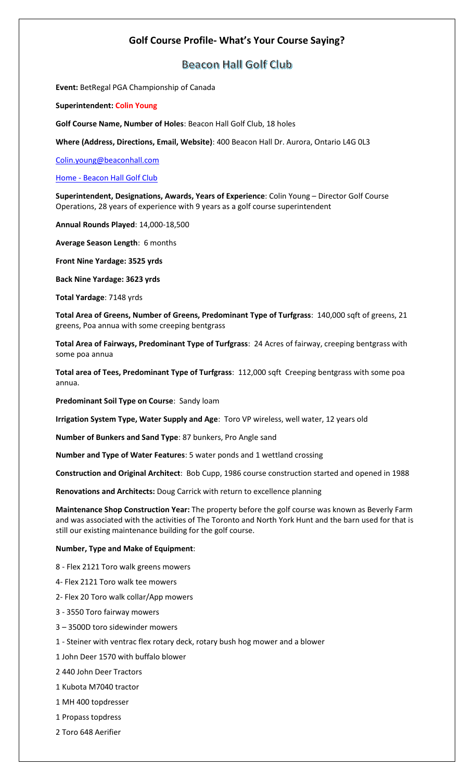## **Golf Course Profile- What's Your Course Saying?**

## **Beacon Hall Golf Club**

**Event:** BetRegal PGA Championship of Canada

**Superintendent: Colin Young**

**Golf Course Name, Number of Holes**: Beacon Hall Golf Club, 18 holes

**Where (Address, Directions, Email, Website)**: 400 Beacon Hall Dr. Aurora, Ontario L4G 0L3

[Colin.young@beaconhall.com](mailto:Colin.young@beaconhall.com)

Home - [Beacon Hall Golf Club](https://www.beaconhall.com/)

**Superintendent, Designations, Awards, Years of Experience**: Colin Young – Director Golf Course Operations, 28 years of experience with 9 years as a golf course superintendent

**Annual Rounds Played**: 14,000-18,500

**Average Season Length**: 6 months

**Front Nine Yardage: 3525 yrds**

**Back Nine Yardage: 3623 yrds**

**Total Yardage**: 7148 yrds

**Total Area of Greens, Number of Greens, Predominant Type of Turfgrass**: 140,000 sqft of greens, 21 greens, Poa annua with some creeping bentgrass

**Total Area of Fairways, Predominant Type of Turfgrass**: 24 Acres of fairway, creeping bentgrass with some poa annua

**Total area of Tees, Predominant Type of Turfgrass**: 112,000 sqft Creeping bentgrass with some poa annua.

**Predominant Soil Type on Course**: Sandy loam

**Irrigation System Type, Water Supply and Age**: Toro VP wireless, well water, 12 years old

**Number of Bunkers and Sand Type**: 87 bunkers, Pro Angle sand

**Number and Type of Water Features**: 5 water ponds and 1 wettland crossing

**Construction and Original Architect**: Bob Cupp, 1986 course construction started and opened in 1988

**Renovations and Architects:** Doug Carrick with return to excellence planning

**Maintenance Shop Construction Year:** The property before the golf course was known as Beverly Farm and was associated with the activities of The Toronto and North York Hunt and the barn used for that is still our existing maintenance building for the golf course.

## **Number, Type and Make of Equipment**:

- 8 Flex 2121 Toro walk greens mowers
- 4- Flex 2121 Toro walk tee mowers
- 2- Flex 20 Toro walk collar/App mowers
- 3 3550 Toro fairway mowers
- 3 3500D toro sidewinder mowers
- 1 Steiner with ventrac flex rotary deck, rotary bush hog mower and a blower
- 1 John Deer 1570 with buffalo blower
- 2 440 John Deer Tractors
- 1 Kubota M7040 tractor
- 1 MH 400 topdresser
- 1 Propass topdress
- 2 Toro 648 Aerifier